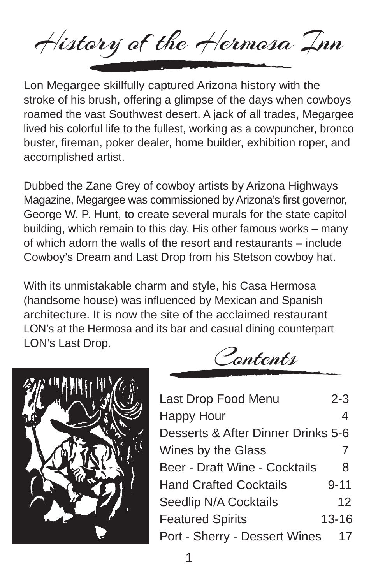History of the Hermosa Inn

Lon Megargee skillfully captured Arizona history with the stroke of his brush, offering a glimpse of the days when cowboys roamed the vast Southwest desert. A jack of all trades, Megargee lived his colorful life to the fullest, working as a cowpuncher, bronco buster, fireman, poker dealer, home builder, exhibition roper, and accomplished artist.

Dubbed the Zane Grey of cowboy artists by Arizona Highways Magazine, Megargee was commissioned by Arizona's first governor, George W. P. Hunt, to create several murals for the state capitol building, which remain to this day. His other famous works – many of which adorn the walls of the resort and restaurants – include Cowboy's Dream and Last Drop from his Stetson cowboy hat.

With its unmistakable charm and style, his Casa Hermosa (handsome house) was influenced by Mexican and Spanish architecture. It is now the site of the acclaimed restaurant LON's at the Hermosa and its bar and casual dining counterpart LON's Last Drop.



Contents

| Last Drop Food Menu                | $2 - 3$  |
|------------------------------------|----------|
| <b>Happy Hour</b>                  | 4        |
| Desserts & After Dinner Drinks 5-6 |          |
| Wines by the Glass                 | 7        |
| Beer - Draft Wine - Cocktails      | 8        |
| <b>Hand Crafted Cocktails</b>      | $9 - 11$ |
| Seedlip N/A Cocktails              | 12       |
| <b>Featured Spirits</b>            | 13-16    |
| Port - Sherry - Dessert Wines      | 17       |
|                                    |          |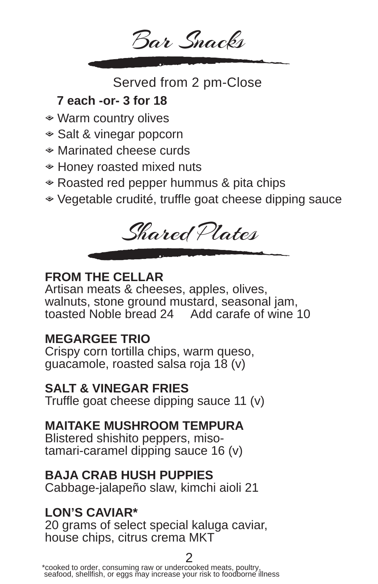

Served from 2 pm-Close

# **7 each -or- 3 for 18**

- ◆ Warm country olives
- ◆ Salt & vinegar popcorn
- $*$  Marinated cheese curds
- ◆ Honey roasted mixed nuts
- $\triangle$  Roasted red pepper hummus & pita chips
- $\bullet$  Vegetable crudité, truffle goat cheese dipping sauce



# **FROM THE CELLAR**

Artisan meats & cheeses, apples, olives, walnuts, stone ground mustard, seasonal jam, toasted Noble bread 24 Add carafe of wine 10

# **MEGARGEE TRIO**

Crispy corn tortilla chips, warm queso, guacamole, roasted salsa roja 18 (v)

## **SALT & VINEGAR FRIES**

Truffle goat cheese dipping sauce 11 (v)

# **MAITAKE MUSHROOM TEMPURA**

Blistered shishito peppers, misotamari-caramel dipping sauce 16 (v)

# **BAJA CRAB HUSH PUPPIES**

Cabbage-jalapeño slaw, kimchi aioli 21

# **LON'S CAVIAR\***

20 grams of select special kaluga caviar, house chips, citrus crema MKT

 $^*$ cooked to order, consuming raw or undercooked meats, poultry,  $^*$ seafood, shellfish, or eggs may increase your risk to foodborne illness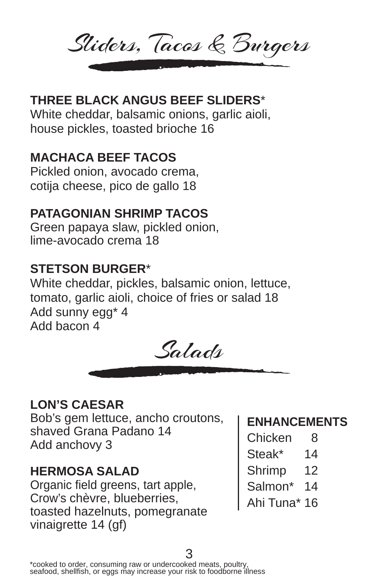Sliders, Tacos & Burgers

# **THREE BLACK ANGUS BEEF SLIDERS**\*

White cheddar, balsamic onions, garlic aioli, house pickles, toasted brioche 16

# **MACHACA BEEF TACOS**

Pickled onion, avocado crema, cotija cheese, pico de gallo 18

# **PATAGONIAN SHRIMP TACOS**

Green papaya slaw, pickled onion, lime-avocado crema 18

## **STETSON BURGER**\*

White cheddar, pickles, balsamic onion, lettuce, tomato, garlic aioli, choice of fries or salad 18 Add sunny egg\* 4 Add bacon 4



## **LON'S CAESAR**

Bob's gem lettuce, ancho croutons, shaved Grana Padano 14 Add anchovy 3

## **HERMOSA SALAD**

Organic field greens, tart apple, Crow's chèvre, blueberries, toasted hazelnuts, pomegranate vinaigrette 14 (gf)

# **ENHANCEMENTS**

- Chicken 8
- Steak\* 14
- Shrimp 12
- Salmon\* 14
- Ahi Tuna\* 16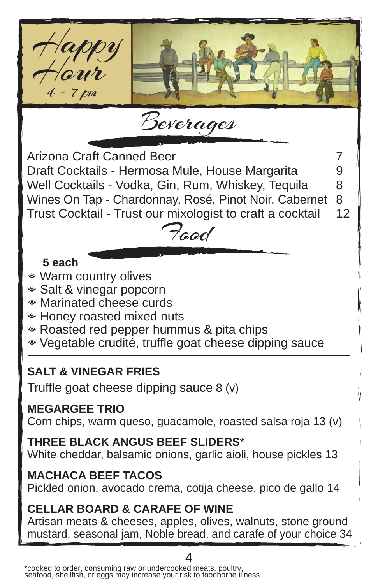

#### **MEGARGEE TRIO**

Corn chips, warm queso, guacamole, roasted salsa roja 13 (v)

**THREE BLACK ANGUS BEEF SLIDERS**\* White cheddar, balsamic onions, garlic aioli, house pickles 13

#### **MACHACA BEEF TACOS**

Pickled onion, avocado crema, cotija cheese, pico de gallo 14

## **CELLAR BOARD & CARAFE OF WINE**

Artisan meats & cheeses, apples, olives, walnuts, stone ground mustard, seasonal jam, Noble bread, and carafe of your choice 34

4 \*cooked to order, consuming raw or undercooked meats, poultry, seafood, shellfish, or eggs may increase your risk to foodborne illness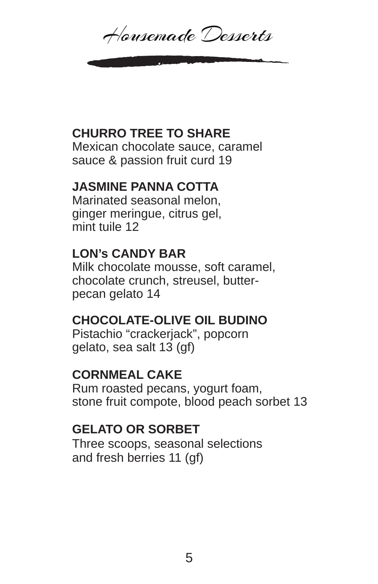Housemade Desserts

## **CHURRO TREE TO SHARE**

Mexican chocolate sauce, caramel sauce & passion fruit curd 19

## **JASMINE PANNA COTTA**

Marinated seasonal melon, ginger meringue, citrus gel, mint tuile 12

# **LON's CANDY BAR**

Milk chocolate mousse, soft caramel, chocolate crunch, streusel, butterpecan gelato 14

## **CHOCOLATE-OLIVE OIL BUDINO**

Pistachio "crackerjack", popcorn gelato, sea salt 13 (gf)

## **CORNMEAL CAKE**

Rum roasted pecans, yogurt foam, stone fruit compote, blood peach sorbet 13

## **GELATO OR SORBET**

Three scoops, seasonal selections and fresh berries 11 (gf)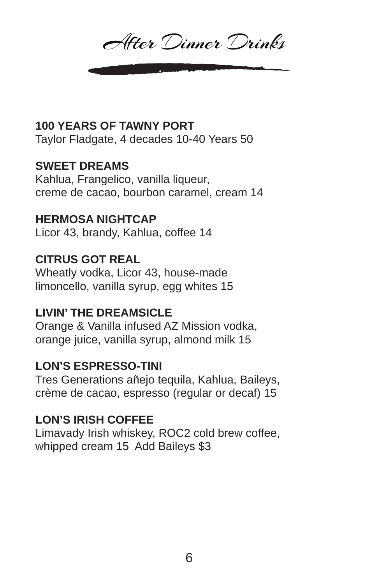After Dinner Drinks

#### **100 YEARS OF TAWNY PORT**

Taylor Fladgate, 4 decades 10-40 Years 50

#### **SWEET DREAMS**

Kahlua, Frangelico, vanilla liqueur, creme de cacao, bourbon caramel, cream 14

#### **HERMOSA NIGHTCAP**

Licor 43, brandy, Kahlua, coffee 14

#### **CITRUS GOT REAL**

Wheatly vodka, Licor 43, house-made limoncello, vanilla syrup, egg whites 15

#### **LIVIN' THE DREAMSICLE**

Orange & Vanilla infused AZ Mission vodka, orange juice, vanilla syrup, almond milk 15

#### **LON'S ESPRESSO-TINI**

Tres Generations añejo tequila, Kahlua, Baileys, crème de cacao, espresso (regular or decaf) 15

#### **LON'S IRISH COFFEE**

Limavady Irish whiskey, ROC2 cold brew coffee, whipped cream 15 Add Baileys \$3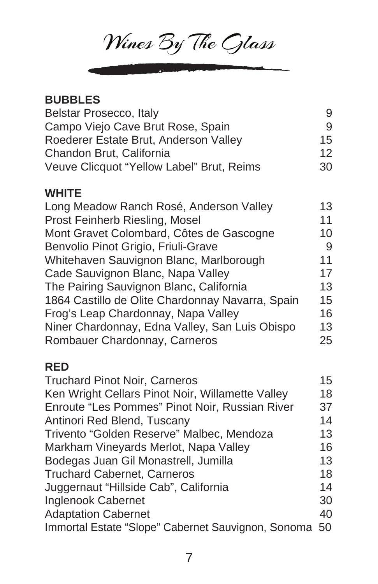Wines By The Cylass

| <b>BUBBLES</b>                                   |    |
|--------------------------------------------------|----|
| Belstar Prosecco, Italy                          | 9  |
| Campo Viejo Cave Brut Rose, Spain                | 9  |
| Roederer Estate Brut, Anderson Valley            | 15 |
| Chandon Brut, California                         | 12 |
| Veuve Clicquot "Yellow Label" Brut, Reims        | 30 |
| <b>WHITE</b>                                     |    |
| Long Meadow Ranch Rosé, Anderson Valley          | 13 |
| Prost Feinherb Riesling, Mosel                   | 11 |
| Mont Gravet Colombard, Côtes de Gascogne         | 10 |
| Benvolio Pinot Grigio, Friuli-Grave              | 9  |
| Whitehaven Sauvignon Blanc, Marlborough          | 11 |
| Cade Sauvignon Blanc, Napa Valley                | 17 |
| The Pairing Sauvignon Blanc, California          | 13 |
| 1864 Castillo de Olite Chardonnay Navarra, Spain | 15 |
| Frog's Leap Chardonnay, Napa Valley              | 16 |
| Niner Chardonnay, Edna Valley, San Luis Obispo   | 13 |
| Rombauer Chardonnay, Carneros                    | 25 |
| <b>RED</b>                                       |    |
| <b>Truchard Pinot Noir, Carneros</b>             | 15 |
| Ken Wright Cellars Pinot Noir, Willamette Valley | 18 |
| Enroute "Les Pommes" Pinot Noir, Russian River   | 37 |
| Antinori Red Blend, Tuscany                      | 14 |
| Trivento "Golden Reserve" Malbec, Mendoza        | 13 |
| Markham Vineyards Merlot, Napa Valley            | 16 |
| Bodegas Juan Gil Monastrell, Jumilla             | 13 |
| <b>Truchard Cabernet, Carneros</b>               | 18 |
| Juggernaut "Hillside Cab", California            | 14 |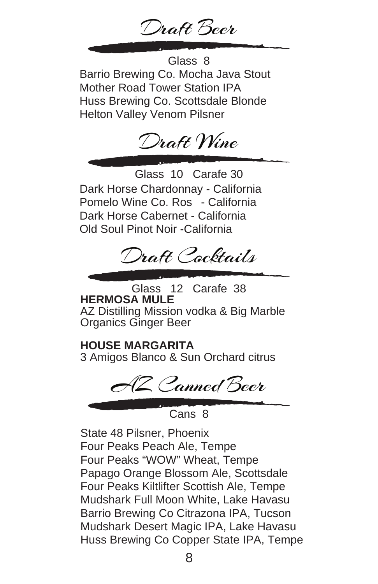Draft Beer

Barrio Brewing Co. Mocha Java Stout Mother Road Tower Station IPA Huss Brewing Co. Scottsdale Blonde Helton Valley Venom Pilsner Glass 8



Dark Horse Chardonnay - California Pomelo Wine Co. Ros - California Dark Horse Cabernet - California Old Soul Pinot Noir -California Glass 10 Carafe 30



**HERMOSA MULE** AZ Distilling Mission vodka & Big Marble Organics Ginger Beer Glass 12 Carafe 38

**HOUSE MARGARITA** 3 Amigos Blanco & Sun Orchard citrus

AZ Canned Beer

Cans<sup>8</sup>

State 48 Pilsner, Phoenix Four Peaks Peach Ale, Tempe Four Peaks "WOW" Wheat, Tempe Papago Orange Blossom Ale, Scottsdale Four Peaks Kiltlifter Scottish Ale, Tempe Mudshark Full Moon White, Lake Havasu Barrio Brewing Co Citrazona IPA, Tucson Mudshark Desert Magic IPA, Lake Havasu Huss Brewing Co Copper State IPA, Tempe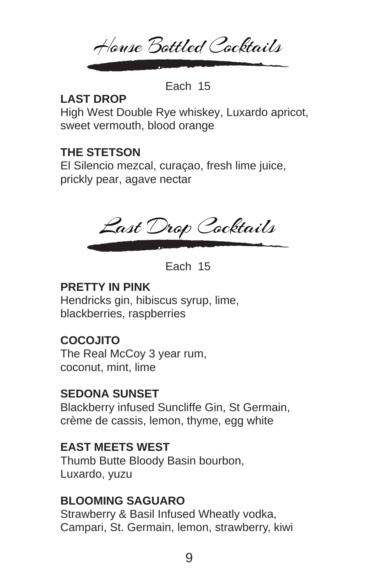House Bottled Cocktails

Each 15

### **LAST DROP**

High West Double Rye whiskey, Luxardo apricot, sweet vermouth, blood orange

# **THE STETSON**

El Silencio mezcal, curaçao, fresh lime juice, prickly pear, agave nectar

Last Drop Cocktails

Each 15

### **PRETTY IN PINK**

Hendricks gin, hibiscus syrup, lime, blackberries, raspberries

## **COCOJITO**

The Real McCoy 3 year rum, coconut, mint, lime

## **SEDONA SUNSET**

Blackberry infused Suncliffe Gin, St Germain, crème de cassis, lemon, thyme, egg white

## **EAST MEETS WEST**

Thumb Butte Bloody Basin bourbon, Luxardo, yuzu

## **BLOOMING SAGUARO**

Strawberry & Basil Infused Wheatly vodka, Campari, St. Germain, lemon, strawberry, kiwi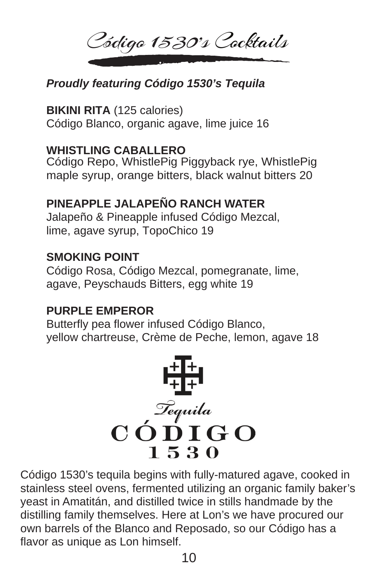Código 1530's Cocktails

## *Proudly featuring Código 1530's Tequila*

#### **BIKINI RITA** (125 calories)

Código Blanco, organic agave, lime juice 16

#### **WHISTLING CABALLERO**

Código Repo, WhistlePig Piggyback rye, WhistlePig maple syrup, orange bitters, black walnut bitters 20

#### **PINEAPPLE JALAPEÑO RANCH WATER**

Jalapeño & Pineapple infused Código Mezcal, lime, agave syrup, TopoChico 19

#### **SMOKING POINT**

Código Rosa, Código Mezcal, pomegranate, lime, agave, Peyschauds Bitters, egg white 19

## **PURPLE EMPEROR**

Butterfly pea flower infused Código Blanco, yellow chartreuse, Crème de Peche, lemon, agave 18



Código 1530's tequila begins with fully-matured agave, cooked in stainless steel ovens, fermented utilizing an organic family baker's yeast in Amatitán, and distilled twice in stills handmade by the distilling family themselves. Here at Lon's we have procured our own barrels of the Blanco and Reposado, so our Código has a flavor as unique as Lon himself.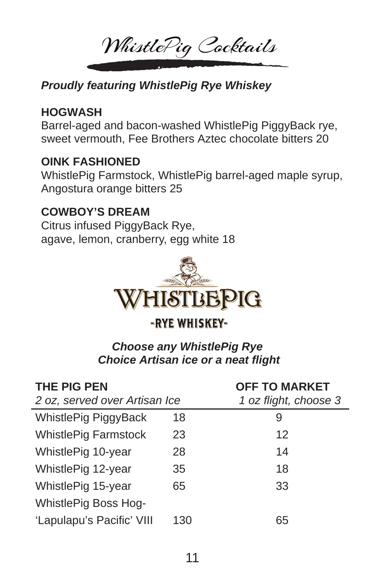WhistlePig Cocktails

# *Proudly featuring WhistlePig Rye Whiskey*

### **HOGWASH**

Barrel-aged and bacon-washed WhistlePig PiggyBack rye, sweet vermouth, Fee Brothers Aztec chocolate bitters 20

#### **OINK FASHIONED**

WhistlePig Farmstock, WhistlePig barrel-aged maple syrup, Angostura orange bitters 25

## **COWBOY'S DREAM**

Citrus infused PiggyBack Rye, agave, lemon, cranberry, egg white 18



# -RYE WHISKEY-

#### *Choose any WhistlePig Rye Choice Artisan ice or a neat flight*

| <b>THE PIG PEN</b><br>2 oz, served over Artisan Ice |     | <b>OFF TO MARKET</b><br>1 oz flight, choose 3 |
|-----------------------------------------------------|-----|-----------------------------------------------|
| WhistlePig PiggyBack                                | 18  | 9                                             |
| <b>WhistlePig Farmstock</b>                         | 23  | 12                                            |
| WhistlePig 10-year                                  | 28  | 14                                            |
| WhistlePig 12-year                                  | 35  | 18                                            |
| WhistlePig 15-year                                  | 65  | 33                                            |
| <b>WhistlePig Boss Hog-</b>                         |     |                                               |
| 'Lapulapu's Pacific' VIII                           | 130 | 65                                            |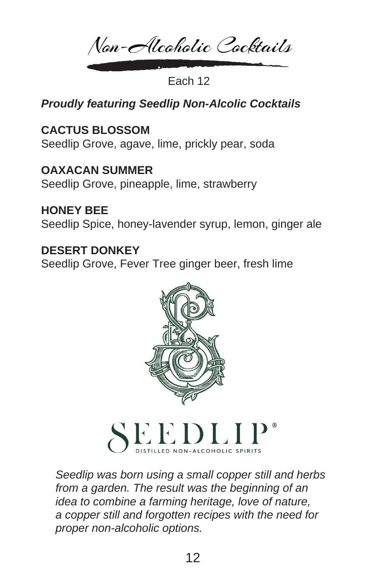Non-Alcoholic Cocktails

Each 12

# *Proudly featuring Seedlip Non-Alcolic Cocktails*

## **CACTUS BLOSSOM**

Seedlip Grove, agave, lime, prickly pear, soda

**OAXACAN SUMMER** Seedlip Grove, pineapple, lime, strawberry

**HONEY BEE** Seedlip Spice, honey-lavender syrup, lemon, ginger ale

## **DESERT DONKEY**

Seedlip Grove, Fever Tree ginger beer, fresh lime



*Seedlip was born using a small copper still and herbs from a garden. The result was the beginning of an idea to combine a farming heritage, love of nature, a copper still and forgotten recipes with the need for proper non-alcoholic options.*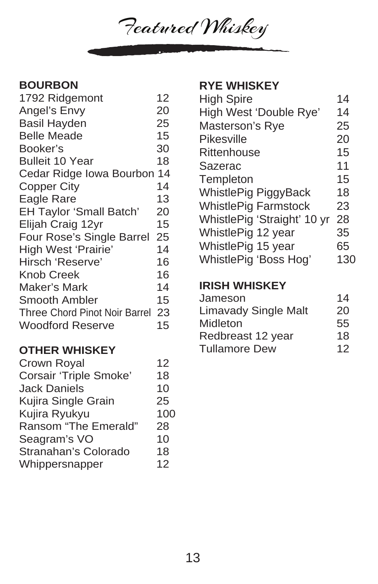Featured Whiskey

#### **BOURBON**

| 12                               |
|----------------------------------|
| 20                               |
| 25                               |
| 15                               |
| 30                               |
| 18                               |
| Cedar Ridge Iowa Bourbon 14      |
| 14                               |
| 13                               |
| 20                               |
| 15                               |
| 25                               |
| 14                               |
| 16                               |
| 16                               |
| 14                               |
| 15                               |
| Three Chord Pinot Noir Barrel 23 |
| 15                               |
|                                  |

#### **OTHER WHISKEY**

| Crown Royal                   | 12  |
|-------------------------------|-----|
| <b>Corsair 'Triple Smoke'</b> | 18  |
| <b>Jack Daniels</b>           | 10  |
| Kujira Single Grain           | 25  |
| Kujira Ryukyu                 | 100 |
| Ransom "The Emerald"          | 28  |
| Seagram's VO                  | 10  |
| Stranahan's Colorado          | 18  |
| Whippersnapper                | 12  |
|                               |     |

#### **RYE WHISKEY**

| 14  |
|-----|
| 14  |
| 25  |
| 20  |
| 15  |
| 11  |
| 15  |
| 18  |
| 23  |
| 28  |
| 35  |
| 65  |
| 130 |
|     |

#### **IRISH WHISKEY**

| Jameson                     | 14 |
|-----------------------------|----|
| <b>Limavady Single Malt</b> | 20 |
| Midleton                    | 55 |
| Redbreast 12 year           | 18 |
| <b>Tullamore Dew</b>        | 12 |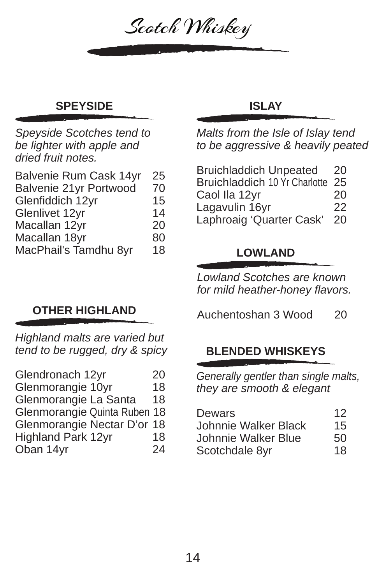

# **SPEYSIDE ISLAY**

*Speyside Scotches tend to be lighter with apple and dried fruit notes.*

| Balvenie Rum Cask 14yr | 25 |
|------------------------|----|
| Balvenie 21yr Portwood | 70 |
| Glenfiddich 12yr       | 15 |
| Glenlivet 12yr         | 14 |
| Macallan 12yr          | 20 |
| Macallan 18yr          | 80 |
| MacPhail's Tamdhu 8yr  | 18 |

## **OTHER HIGHLAND**

*Highland malts are varied but tend to be rugged, dry & spicy*

| 20                           |
|------------------------------|
| 18                           |
| 18                           |
| Glenmorangie Quinta Ruben 18 |
| Glenmorangie Nectar D'or 18  |
| 18                           |
| 24                           |
|                              |

*Malts from the Isle of Islay tend to be aggressive & heavily peated*

| <b>Bruichladdich Unpeated</b>    | 20 |
|----------------------------------|----|
| Bruichladdich 10 Yr Charlotte 25 |    |
| Caol Ila 12yr                    | 20 |
| Lagavulin 16yr                   | 22 |
| Laphroaig 'Quarter Cask'         | 20 |

## **LOWLAND**

*Lowland Scotches are known for mild heather-honey flavors.*

Auchentoshan 3 Wood 20

## **BLENDED WHISKEYS**

*Generally gentler than single malts, they are smooth & elegant* 

| Dewars               | 12 |
|----------------------|----|
| Johnnie Walker Black | 15 |
| Johnnie Walker Blue  | 50 |
| Scotchdale 8yr       | 18 |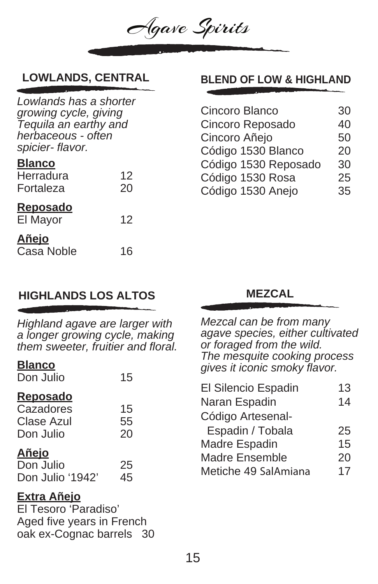

*Lowlands has a shorter growing cycle, giving Tequila an earthy and herbaceous - often spicier- flavor.*

#### **Blanco**

| Herradura<br>Fortaleza            | 12<br>20 |
|-----------------------------------|----------|
| Reposado<br>El Mayor              | 12       |
| <u>Añeio</u><br><b>Casa Noble</b> | 16       |

# **LOWLANDS, CENTRAL BLEND OF LOW & HIGHLAND**

| Cincoro Blanco       | 30 |
|----------------------|----|
| Cincoro Reposado     | 40 |
| Cincoro Añejo        | 50 |
| Código 1530 Blanco   | 20 |
| Código 1530 Reposado | 30 |
| Código 1530 Rosa     | 25 |
| Código 1530 Anejo    | 35 |

## **HIGHLANDS LOS ALTOS MEZCAL**

*Highland agave are larger with a longer growing cycle, making them sweeter, fruitier and floral.*

#### **Blanco**

Don Julio 15

#### **Reposado**

| Cazadores  | 15 |
|------------|----|
| Clase Azul | 55 |
| Don Julio  | 20 |

#### **Añejo**

| Don Julio        | 25 |
|------------------|----|
| Don Julio '1942' | 45 |

#### **Extra Añejo**

El Tesoro 'Paradiso' Aged five years in French oak ex-Cognac barrels 30

*Mezcal can be from many agave species, either cultivated or foraged from the wild. The mesquite cooking process gives it iconic smoky flavor.*

| El Silencio Espadin   | 13 |
|-----------------------|----|
| Naran Espadin         | 14 |
| Código Artesenal-     |    |
| Espadin / Tobala      | 25 |
| Madre Espadin         | 15 |
| <b>Madre Ensemble</b> | 20 |
| Metiche 49 SalAmiana  | 17 |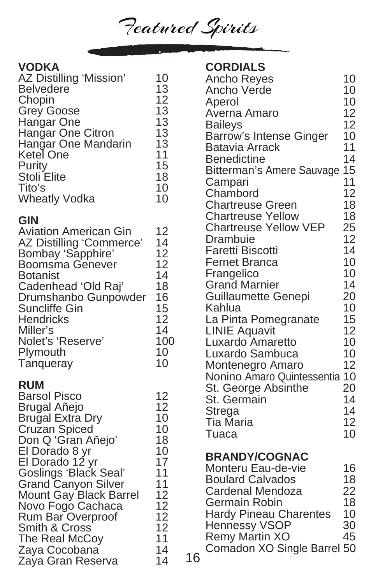Featured Spirits

#### **VODKA**

| , , , , ,<br>AZ Distilling 'Mission'<br><b>Belvedere</b><br>Chopin<br><b>Grey Goose</b><br>Hangar One<br>Hangar One Citron<br>Hangar One Mandarin<br>Ketel One<br>Purity<br>Stoli Elite<br>Tito's<br><b>Wheatly Vodka</b>                                                                                                                             | 10<br>13<br>12<br>13<br>13<br>13<br>13<br>11<br>15<br>18<br>10<br>10                         |    |
|-------------------------------------------------------------------------------------------------------------------------------------------------------------------------------------------------------------------------------------------------------------------------------------------------------------------------------------------------------|----------------------------------------------------------------------------------------------|----|
| <b>GIN</b><br><b>Aviation American Gin</b><br>AZ Distilling 'Commerce'<br>Bombay 'Sapphire'<br><b>Boomsma Genever</b><br>Botanist<br>Cadenhead 'Old Raj'<br>Drumshanbo Gunpowder<br>Suncliffe Gin<br>Hendricks<br>Miller's<br>Nolet's 'Reserve'<br>Plymouth<br>Tanqueray                                                                              | 12<br>14<br>12<br>12<br>14<br>18<br>16<br>15<br>12<br>14<br>100<br>10<br>10                  |    |
| <b>RUM</b><br><b>Barsol Pisco</b><br>Brugal Añejo<br>Brugal Extra Dry<br>Cruzan Spiced<br>Don Q 'Gran Añejo'<br>El Dorado 8 yr<br>El Dorado 12 yr<br>Goslings 'Black Seal'<br><b>Grand Canyon Silver</b><br>Mount Gay Black Barrel<br>Novo Fogo Cachaca<br>Rum Bar Overproof<br>Smith & Cross<br>The Real McCoy<br>Zaya Cocobana<br>Zaya Gran Reserva | 12<br>12<br>10<br>10<br>18<br>10<br>17<br>11<br>11<br>12<br>12<br>12<br>12<br>11<br>14<br>14 | 16 |

#### **CORDIALS**

| Ancho Reyes                    | 10 |
|--------------------------------|----|
| Ancho Verde                    | 10 |
| Aperol                         | 10 |
| Averna Amaro                   | 12 |
| <b>Baileys</b>                 | 12 |
| <b>Barrow's Intense Ginger</b> | 10 |
| <b>Batavia Arrack</b>          | 11 |
| <b>Benedictine</b>             | 14 |
| Bitterman's Amere Sauvage      | 15 |
|                                | 11 |
| Campari<br>Chambord            | 12 |
| <b>Chartreuse Green</b>        | 18 |
| <b>Chartreuse Yellow</b>       | 18 |
| <b>Chartreuse Yellow VEP</b>   | 25 |
| Drambuie                       | 12 |
| <b>Faretti Biscotti</b>        | 14 |
| <b>Fernet Branca</b>           | 10 |
| Frangelico                     | 10 |
| <b>Grand Marnier</b>           | 14 |
| <b>Guillaumette Genepi</b>     | 20 |
| Kahlua                         | 10 |
| La Pinta Pomegranate           | 15 |
| <b>LINIE Aquavit</b>           | 12 |
| <b>Luxardo Amaretto</b>        | 10 |
| Luxardo Sambuca                | 10 |
| Montenegro Amaro               | 12 |
| Nonino Amaro Quintessentia     | 10 |
| St. George Absinthe            | 20 |
| St. Germain                    | 14 |
| <b>Strega</b>                  | 14 |
| Tia Maria                      | 12 |
| Tuaca                          | 10 |
|                                |    |
| <b>BRANDY/COGNAC</b>           |    |
| Monteru Eau-de-vie             | 16 |
| <b>Boulard Calvados</b>        | 18 |
| Cardenal Mendoza               | 22 |
| Germain Robin                  | 18 |
| <b>Hardy Pineau Charentes</b>  | 10 |
| <b>Hennessy VSOP</b>           | 30 |
| <b>Remy Martin XO</b>          | 45 |
| Comadon XO Single Barrel       | 50 |
|                                |    |